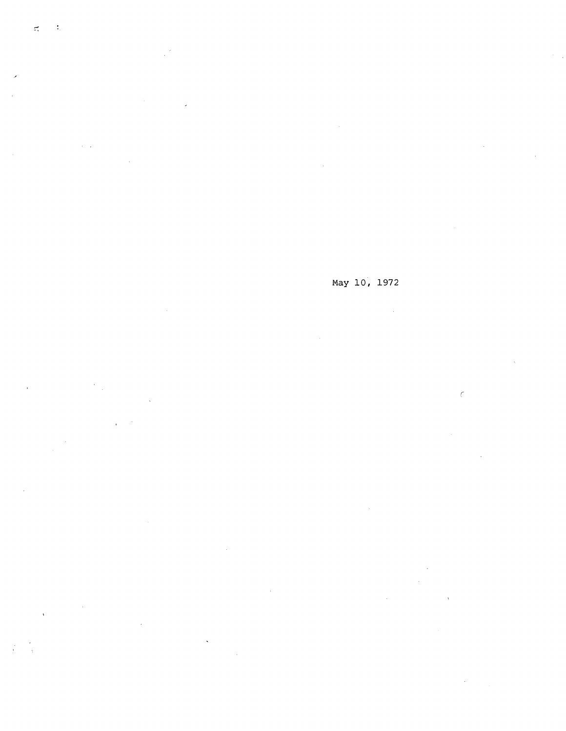$\sim$   $\sim$  $\frac{1}{2}$ 

 $\ddot{\phantom{a}}$  $\frac{1}{2}$ 

 $\chi_{\rm{max}}$ 

 $\mathcal{A}^{\pm}$ 

 $\ddot{\phantom{0}}$ 

May 10, 1972  $\sim 10^7$  $\epsilon$ 

 $\mathcal{L}^{\pm}$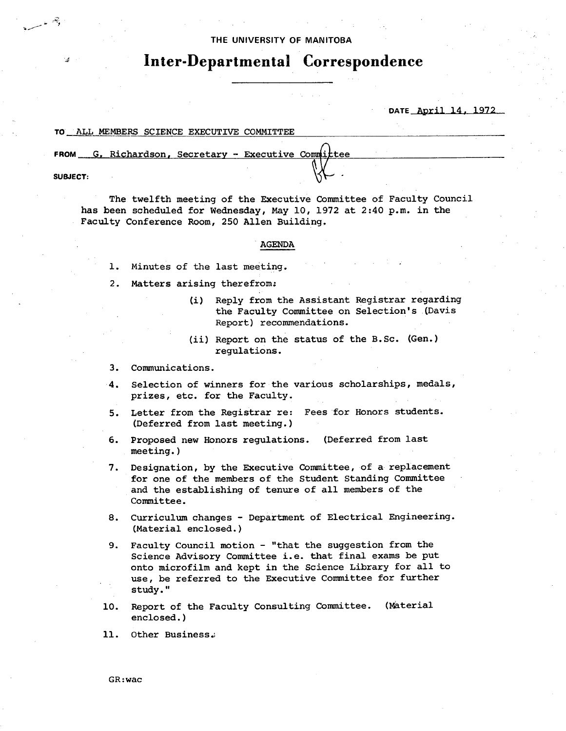## **THE UNtVERSITY OF MANITOBA**

# **Inter-Departmental Correspondence**

**DATE April** 14, 1972

### TO ALL MEMBERS SCIENCE EXECUTIVE COMMITTEE

FROM G. Richardson, Secretary - Executive Committee

**SUBJECT:** 

্ৰ নহ

The twelfth meeting of the Executive Committee of Faculty Council has been scheduled for Wednesday, May 10, 1972 at 2:40 p.m. in the Faculty Conference Room, 250 Allen Building.

### AGENDA

- 1. Minutes of the last meeting.
- 2. Matters arising therefrom:
	- (i) Reply from the Assistant Registrar regarding the Faculty Committee on Selection's (Davis Report) recommendations.
	- (ii) Report on the status of the B.Sc. (Gen.) regulations.
- 3. Communications.
- 4. Selection of winners for the various scholarships, medals, prizes, etc. for the Faculty.
- 5. Letter from the Registrar re: Fees for Honors students. (Deferred from last meeting.)
- 6. Proposed new Honors regulations. (Deferred from last meeting.)
- 7. Designation, by the Executive Committee, of a replacement for one of the members of the Student Standing Committee and the establishing of tenure of all members of the Committee.
- 8. Curriculum changes Department of Electrical Engineering. (Material enclosed.)
- 9. Faculty Council motion "that the suggestion from the Science Advisory Committee i.e. that final exams be put onto microfilm and kept in the Science Library for all to use, be referred to the Executive Committee for further study."
- 10. Report of the Faculty Consulting Committee. (Material enclosed.)
- 11. Other Business.

GR:wac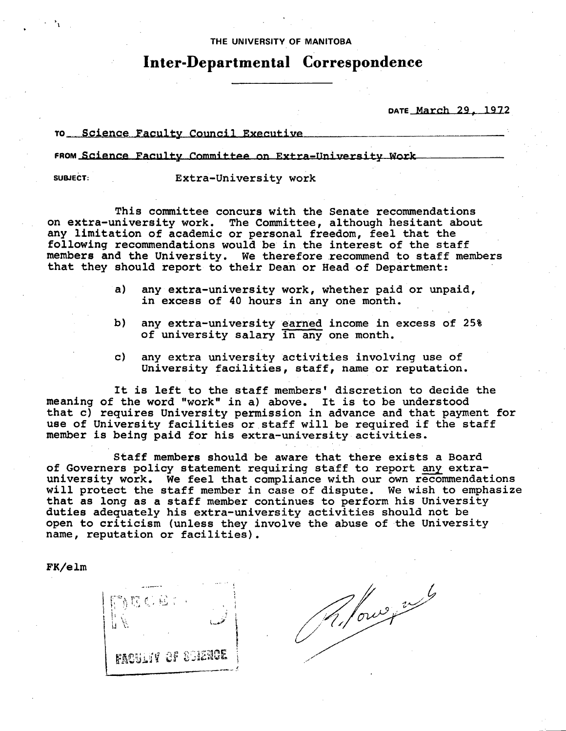## THE UNIVERSITY **OF MANITOBA**

# **Inter-Departmental Correspondence**

DATE \_March 29, 1972

## TO Science Faculty Council Executive

FROM Science Faculty Committee on Extra-University Work

**SUBJECT:** Extra-University work

This committee concurs with the Senate recommendations on extra-university work. The Committee, although hesitant about any limitation of academic or personal freedom, feel that the following recommendations would be in the interest of the staff members and the University. We therefore recommend to staff members that they should report to their Dean or Head of Department:

- any extra-university work, whether paid or unpaid, a) in excess of 40 hours in any one month.
- b) any extra-university earned income in excess of 25% of university salary in any one month.
- $\mathbf{c}$ any extra university activities involving use of University facilities, staff, name or reputation.

It is left to the staff members' discretion to decide the *meaning* **of the word "work" in a) above.** It is to be understood that c) requires University permission in advance and that payment for use of University facilities or staff will be required if the staff member is being paid for his extra-university activities.

Staff members should be aware that there exists a Board of Governers policy statement requiring staff to report any extrauniversity work. We feel that compliance with our own recommendations will protect the staff member in case of dispute. We wish to emphasize that as long as a staff member continues to perform his University duties adequately his extra-university activities should not be open to criticism (unless they involve the abuse of the University name, reputation or facilities).

FK/elm



R. former nul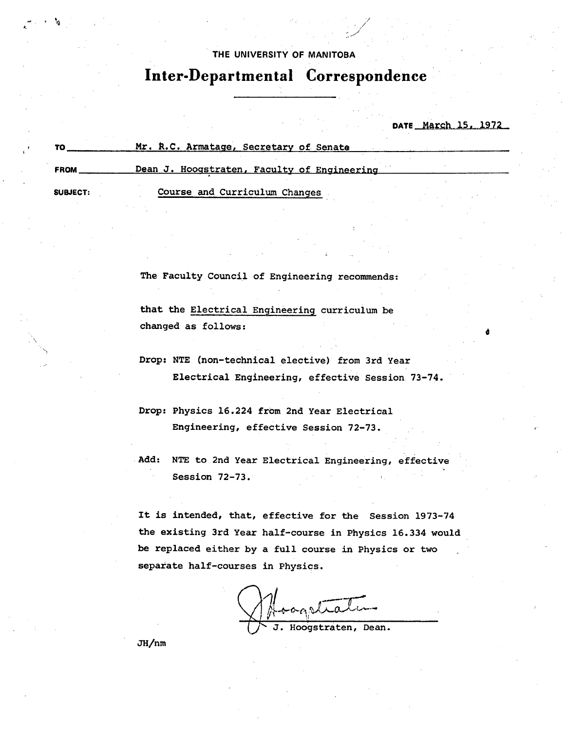# THE UNIVERSITY OF MANITOBA

7 /

# **Inter-Departmental Correspondence**

DATE March 15, 1972

o

|             | Mr. R.C. Armatage, Secretary of Senate      |  |
|-------------|---------------------------------------------|--|
| <b>FROM</b> | Dean J. Hoogstraten, Faculty of Engineering |  |
| SUBJECT:    | Course and Curriculum Changes               |  |

The Faculty Council of Engineering recommends:

that the Electrical Engineering curriculum be changed as follows:

- Drop: NTE (non-technical elective) from 3rd Year Electrical Engineering, effective Session 73-74.
- Drop: Physics 16.224 from 2nd Year Electrical Engineering, effective Session 72-73.

Add: NTE to 2nd Year Electrical Engineering, effective Session 72-73.

It is intended, that, effective for the Session 1973-74 the existing 3rd Year half-course in Physics 16.334 would be replaced either by a full course in Physics or two separate half-courses in Physics.

More J. Hoogstraten, Dean.

JH/nm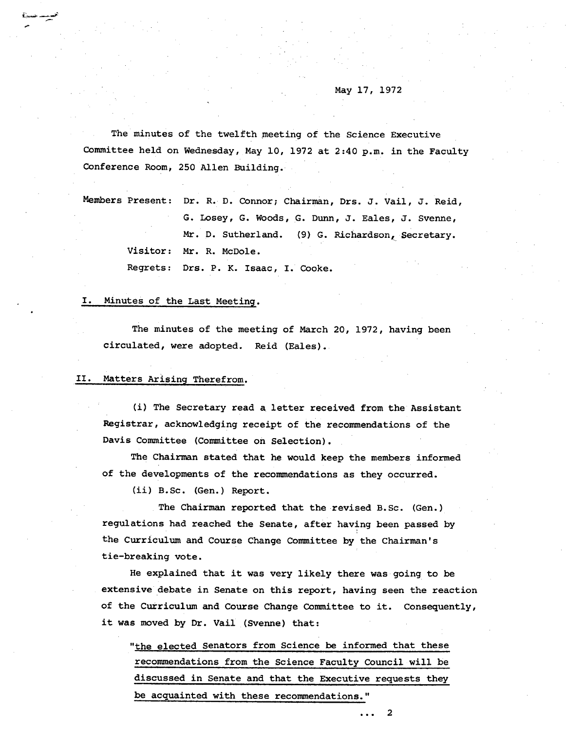## May 17, 1972

The minutes of the twelfth meeting of the Science Executive Committee held on Wednesday, May 10, 1972 at 2:40 p.m. in the Faculty Conference Room, 250 Allen Building.

Members Present: Dr. R. D. Connor; Chairman, Drs. J. Vail, J. Reid, G. Losey, G. Woods, G. Dunn, J. Eales, J. Svenne, Mr. D. Sutherland. (9) G. Richardson, Secretary. Visitor: Mr. R. McDole.

Regrets: Drs. P. K. Isaac, I. Cooke.

#### Minutes of the Last Meeting. I.

The minutes of the meeting of March 20, 1972, having been circulated, were adopted. Reid (Eales)..

#### II. Matters Arising Therefrom.

(i) The Secretary read a letter received from the Assistant Registrar, acknowledging receipt of the recommendations of the Davis Committee (Committee on Selection).

The Chairman stated that he would keep the members informed of the developments of the recommendations as they occurred.

(ii) B.Sc. (Gen.) Report.

The Chairman reported that the revised B.Sc. (Gen.) regulations had reached the Senate, after having been passed by the Curriculum and Course Change Committee by the Chairman's tie-breaking vote.

He explained that it was very likely there was going to be extensive debate in Senate on this report, having seen the reaction of the Curriculum and Course Change Committee to it. Consequently, it was moved by Dr. Vail (Svenne) that:

"the elected Senators from Science be informed that these recommendations from the Science Faculty Council will be discussed in Senate and that the Executive requests they be acquainted with these recommendations."

 $\overline{2}$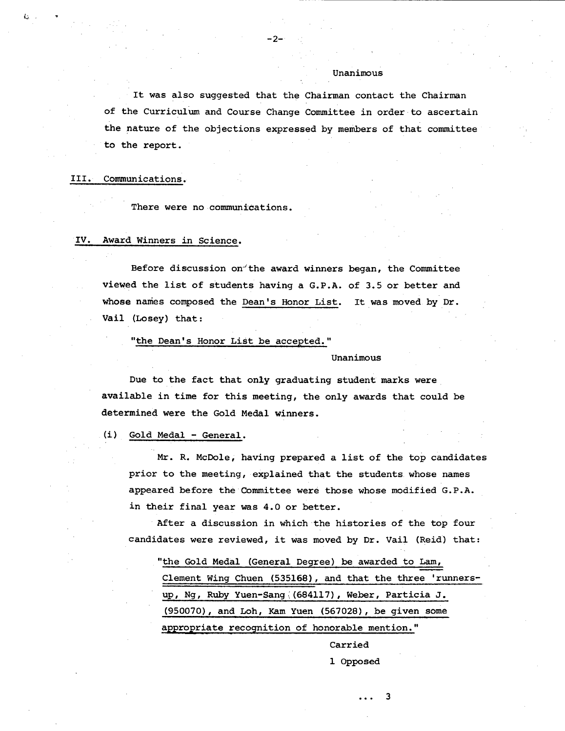It was also suggested that the Chairman contact the Chairman of the Curriculum and Course Change Committee in order to ascertain the nature of the objections expressed by members of that committee to the report.

#### III. Communications.

There were no communications.

## IV. Award Winners in Science.

Before discussion on the award winners began, the Committee viewed the list of students having a G.P.A. of 3.5 or better and whose names composed the Dean's Honor List. It was moved by Dr. Vail (Losey) that:

"the Dean's Honor List be accepted."

### Unanimous

Unanimous

Due to the fact that only graduating student marks were available in time for this meeting, the only awards that could be determined were the Gold Medal winners.

## (i) Gold Medal - General.

Mr. R. McDole, having prepared a list of the top candidates prior to the meeting, explained that the students whose names appeared before the Committee were those whose modified G.P.A. in their final year was 4.0 or better.

After a discussion in which the histories of the top four candidates were reviewed, it was moved by Dr. Vail (Reid) that:

"the Gold Medal (General Degree) be awarded to Lam, Clement Wing Chuen (535168), and that the three 'runnersup, Ng, Ruby Yuen-Sang(684117), Weber, Particia J. (950070), and Loh, Kam Yuen (567028), be given some appropriate recognition of honorable mention."

> Carried 1 Opposed

> > 3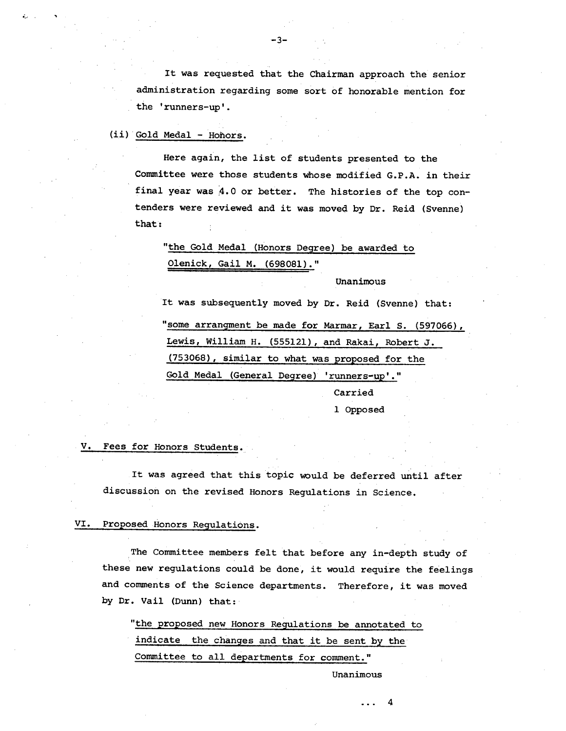It was requested that the Chairman approach the senior administration regarding some sort of honorable mention for the 'runners-up'.

## (ii) Gold Medal - Hohors.

Here again, the list of students presented to the Committee were those students whose modified G.P.A. in their final year was 4.0 or better. The histories of the top contenders were reviewed and it was moved by Dr. Reid (Svenne) that:

"the Gold Medal (Honors Degree) be awarded to Olenick, Gail M. (698081)."

Unanimous

It was subsequently moved by Dr. Reid (Svenne) that: "some arrangment be made for Marmar, Earl S. (597066), Lewis, William H. (555121), and Rakai, Robert J. (753068), similar to what was proposed for the Gold Medal (General Degree) 'runners-up'."

Carried 1 Opposed

#### v. Fees for Honors Students.

It was agreed that this topic would be deferred until after discussion on the revised Honors Regulations in Science.

#### VI. Proposed Honors Regulations.

The Committee members felt that before any in-depth study of these new regulations could be done, it would require the feelings and comments of the Science departments. Therefore, it was moved by Dr. Vail (Dunn) that:

"the proposed new Honors Regulations be annotated to indicate the changes and that it be sent by the Committee to all departments for comment."

Unanimous

4

-3-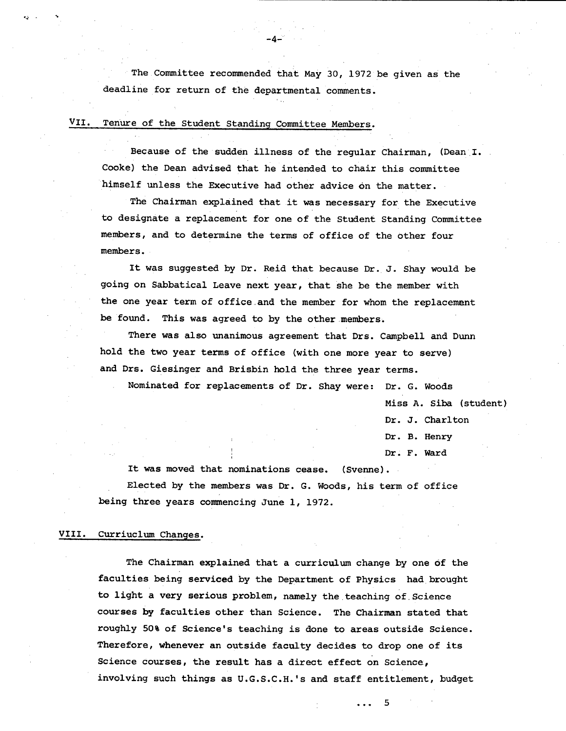The Committee recommended that May 30, 1972 be given as the deadline for return of the departmental comments.

 $-4-$ 

# VII. Tenure of the Student Standing Committee Members.

Because of the sudden illness of the regular Chairman, (Dean 1. Cooke) the Dean advised that he intended to chair this committee himself unless the Executive had other advice on the matter.

The Chairman explained that it was necessary for the Executive to desigrate a replacement for one of the Student Standing Committee members, and to determine the terms of office of the other four members.

It was suggested by Dr. Reid that because Dr. J. Shay would be going on Sabbatical Leave next year, that she be the member with the one year term of office and the member for whom the replacement be found. This was agreed to by the other members.

There was also unanimous agreement that Drs. Campbell and Dunn hold the two year terms of office (with one more year to serve) and Drs. Giesinger and Brisbin hold the three year terms.

Nominated for replacements of Dr. Shay were: Dr. G. Woods

Miss A. Siba (student)

Dr. J. Charlton

Dr. B. Henry

Dr. F. Ward

It was moved that nominations cease. (Svenne). Elected by the members was Dr. G. Woods, his term of office being three years commencing June 1, 1972.

## VIII. Curriuclum Changes.

The Chairman explained that a curriculum change by one of the faculties being **serviced** by the Department of Physics had brought to light a very serious problem, namely the teaching of Science courses by faculties other than Science. The Chairman stated that roughly 50% of Science's teaching is done to areas outside Science. Therefore, whenever an outside faculty decides to drop one of its Science courses, the result has a direct effect on Science, involving such things as U.G.S.C.H.'S and staff entitlement, budget

> 5  $\mathbf{1}$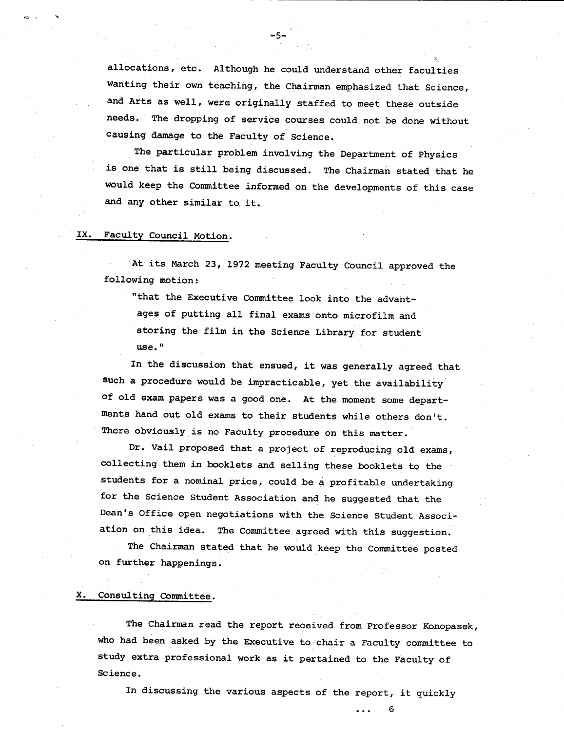allocations, etc. Although he could understand other faculties Wanting their own teaching, the Chairman emphasized that Science, and Arts as Well, were originally staffed to meet these outside needs. The dropping of service courses could not be done without causing damage to the Faculty of Science.

-5.-

The particular problem involving the Department of Physics is one that is still being discussed. The Chairman stated that he would keep the Committee informed on the developments of this case and any other similar to, it.

#### IX. Faculty Council Motion.

At its March 23, 1972 meeting Faculty Council approved the following motion:

"that the Executive Committee look into the advantages of putting all final exams onto microfilm and storing the film in the Science Library for student use."

In the discussion that ensued, it was generally agreed that such a procedure would be impracticable, yet the availability of old exam papers was a good one. At the moment some departments hand out old exams to their students while others don't. There obviously is no Faculty procedure on this matter.

Dr. Vail proposed that a project of reproducing old exams, collecting them in booklets and selling these booklets to the students for a nominal price, could be a profitable undertaking for the Science Student Association and he suggested that the Dean's Office open negotiations with the Science Student Association on this idea. The Committee agreed with this suggestion.

The Chairman stated that he would keep the Committee posted on further happenings.

#### X. Consulting Committee.

The Chairman read the report received from Professor Konopasek, who had been asked by the Executive to chair a Faculty committee to Study extra professional work as it pertained to the Faculty of Science.

In discussing the various aspects of the report, it quickly

... 6